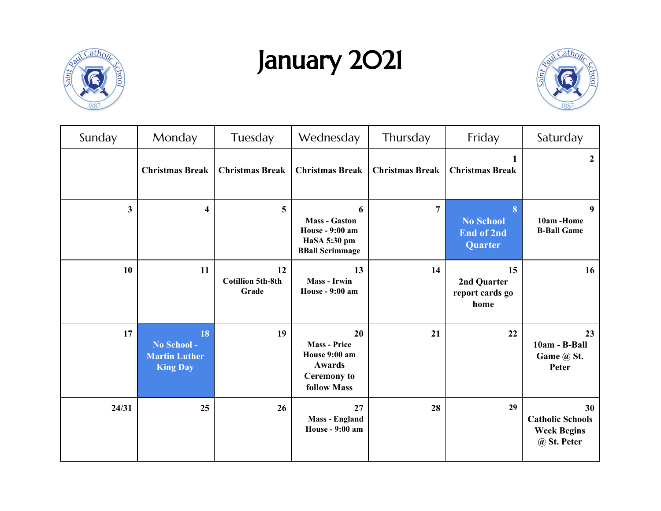

## January 2021



| Sunday | Monday                                                       | Tuesday                                 | Wednesday                                                                                               | Thursday               | Friday                                                | Saturday                                                           |
|--------|--------------------------------------------------------------|-----------------------------------------|---------------------------------------------------------------------------------------------------------|------------------------|-------------------------------------------------------|--------------------------------------------------------------------|
|        | <b>Christmas Break</b>                                       | <b>Christmas Break</b>                  | <b>Christmas Break</b>                                                                                  | <b>Christmas Break</b> | <b>Christmas Break</b>                                | $\overline{2}$                                                     |
| 3      | 4                                                            | 5                                       | 6<br><b>Mass - Gaston</b><br><b>House - 9:00 am</b><br>HaSA 5:30 pm<br><b>BBall Scrimmage</b>           | $\overline{7}$         | 8<br><b>No School</b><br><b>End of 2nd</b><br>Quarter | 9<br>10am -Home<br><b>B-Ball Game</b>                              |
| 10     | 11                                                           | 12<br><b>Cotillion 5th-8th</b><br>Grade | 13<br><b>Mass - Irwin</b><br><b>House - 9:00 am</b>                                                     | 14                     | 15<br>2nd Quarter<br>report cards go<br>home          | 16 <sup>1</sup>                                                    |
| 17     | 18<br>No School -<br><b>Martin Luther</b><br><b>King Day</b> | 19                                      | 20<br><b>Mass - Price</b><br>House 9:00 am<br><b>Awards</b><br><b>Ceremony</b> to<br><b>follow Mass</b> | 21                     | 22                                                    | 23<br>10am - B-Ball<br>Game @ St.<br>Peter                         |
| 24/31  | 25                                                           | 26                                      | 27<br><b>Mass - England</b><br><b>House - 9:00 am</b>                                                   | 28                     | 29                                                    | 30<br><b>Catholic Schools</b><br><b>Week Begins</b><br>@ St. Peter |